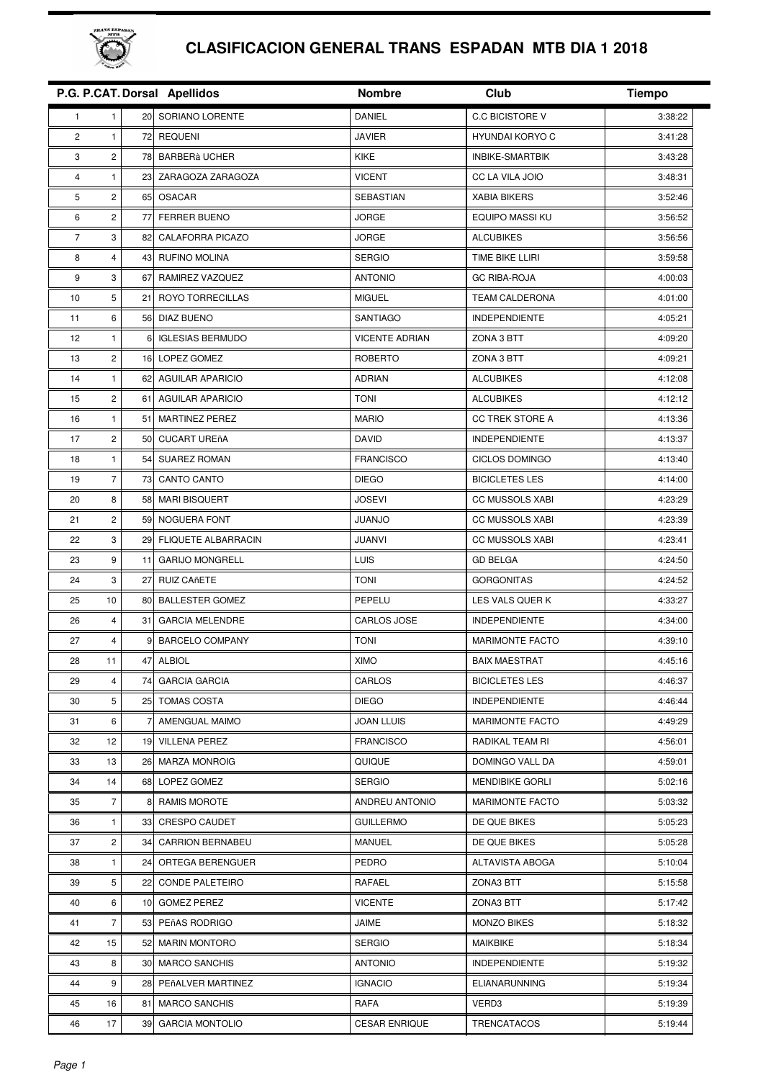

## **CLASIFICACION GENERAL TRANS ESPADAN MTB DIA 1 2018**

|                |                         |                | P.G. P.CAT. Dorsal Apellidos | <b>Nombre</b>         | Club                   | <b>Tiempo</b> |
|----------------|-------------------------|----------------|------------------------------|-----------------------|------------------------|---------------|
| $\mathbf{1}$   | 1                       | 20             | SORIANO LORENTE              | DANIEL                | <b>C.C BICISTORE V</b> | 3:38:22       |
| $\overline{c}$ | $\mathbf{1}$            |                | 72 REQUENI                   | <b>JAVIER</b>         | <b>HYUNDAI KORYO C</b> | 3:41:28       |
| 3              | $\overline{c}$          | 78             | <b>BARBERà UCHER</b>         | KIKE                  | INBIKE-SMARTBIK        | 3:43:28       |
| 4              | 1                       | 23             | ZARAGOZA ZARAGOZA            | <b>VICENT</b>         | CC LA VILA JOIO        | 3:48:31       |
| 5              | $\overline{\mathbf{c}}$ | 65             | <b>OSACAR</b>                | SEBASTIAN             | <b>XABIA BIKERS</b>    | 3:52:46       |
| 6              | 2                       | 77             | FERRER BUENO                 | <b>JORGE</b>          | <b>EQUIPO MASSI KU</b> | 3:56:52       |
| $\overline{7}$ | 3                       | 82             | CALAFORRA PICAZO             | <b>JORGE</b>          | <b>ALCUBIKES</b>       | 3:56:56       |
| 8              | 4                       | 43             | RUFINO MOLINA                | <b>SERGIO</b>         | TIME BIKE LLIRI        | 3:59:58       |
| 9              | 3                       | 67             | RAMIREZ VAZQUEZ              | <b>ANTONIO</b>        | <b>GC RIBA-ROJA</b>    | 4:00:03       |
| 10             | 5                       | 21             | ROYO TORRECILLAS             | <b>MIGUEL</b>         | <b>TEAM CALDERONA</b>  | 4:01:00       |
| 11             | 6                       | 56             | DIAZ BUENO                   | SANTIAGO              | <b>INDEPENDIENTE</b>   | 4:05:21       |
| 12             | 1                       | 6              | <b>IGLESIAS BERMUDO</b>      | <b>VICENTE ADRIAN</b> | ZONA 3 BTT             | 4:09:20       |
| 13             | 2                       | 16             | LOPEZ GOMEZ                  | <b>ROBERTO</b>        | ZONA 3 BTT             | 4:09:21       |
| 14             | 1                       | 62             | <b>AGUILAR APARICIO</b>      | <b>ADRIAN</b>         | <b>ALCUBIKES</b>       | 4:12:08       |
| 15             | $\overline{c}$          | 61             | <b>AGUILAR APARICIO</b>      | <b>TONI</b>           | <b>ALCUBIKES</b>       | 4:12:12       |
| 16             | 1                       | 51             | <b>MARTINEZ PEREZ</b>        | <b>MARIO</b>          | <b>CC TREK STORE A</b> | 4:13:36       |
| 17             | $\overline{c}$          | 50             | <b>CUCART UREñA</b>          | <b>DAVID</b>          | <b>INDEPENDIENTE</b>   | 4:13:37       |
| 18             | 1                       | 54             | <b>SUAREZ ROMAN</b>          | <b>FRANCISCO</b>      | CICLOS DOMINGO         | 4:13:40       |
| 19             | $\overline{7}$          | 73             | CANTO CANTO                  | <b>DIEGO</b>          | <b>BICICLETES LES</b>  | 4:14:00       |
| 20             | 8                       | 58             | <b>MARI BISQUERT</b>         | <b>JOSEVI</b>         | <b>CC MUSSOLS XABI</b> | 4:23:29       |
| 21             | $\overline{c}$          | 59             | NOGUERA FONT                 | <b>JUANJO</b>         | <b>CC MUSSOLS XABI</b> | 4:23:39       |
| 22             | 3                       | 29             | <b>FLIQUETE ALBARRACIN</b>   | JUANVI                | <b>CC MUSSOLS XABI</b> | 4:23:41       |
| 23             | 9                       | 11             | <b>GARIJO MONGRELL</b>       | LUIS                  | <b>GD BELGA</b>        | 4:24:50       |
| 24             | 3                       | 27             | <b>RUIZ CAñETE</b>           | <b>TONI</b>           | <b>GORGONITAS</b>      | 4:24:52       |
| 25             | 10                      | 80             | <b>BALLESTER GOMEZ</b>       | PEPELU                | LES VALS QUER K        | 4:33:27       |
| 26             | 4                       | 31             | <b>GARCIA MELENDRE</b>       | CARLOS JOSE           | <b>INDEPENDIENTE</b>   | 4:34:00       |
| 27             | 4                       | 9              | <b>BARCELO COMPANY</b>       | <b>TONI</b>           | <b>MARIMONTE FACTO</b> | 4:39:10       |
| 28             | 11                      | 47             | <b>ALBIOL</b>                | <b>XIMO</b>           | <b>BAIX MAESTRAT</b>   | 4:45:16       |
| 29             | 4                       | 74             | <b>GARCIA GARCIA</b>         | CARLOS                | <b>BICICLETES LES</b>  | 4:46:37       |
| 30             | 5                       |                | 25 TOMAS COSTA               | <b>DIEGO</b>          | <b>INDEPENDIENTE</b>   | 4:46:44       |
| 31             | 6                       | $\overline{7}$ | AMENGUAL MAIMO               | <b>JOAN LLUIS</b>     | <b>MARIMONTE FACTO</b> | 4:49:29       |
| 32             | 12                      |                | 19 VILLENA PEREZ             | <b>FRANCISCO</b>      | RADIKAL TEAM RI        | 4:56:01       |
| 33             | 13                      |                | 26 MARZA MONROIG             | QUIQUE                | DOMINGO VALL DA        | 4:59:01       |
| 34             | 14                      |                | 68 LOPEZ GOMEZ               | <b>SERGIO</b>         | MENDIBIKE GORLI        | 5:02:16       |
| 35             | 7                       | 8              | RAMIS MOROTE                 | ANDREU ANTONIO        | <b>MARIMONTE FACTO</b> | 5:03:32       |
| 36             | 1                       |                | 33 CRESPO CAUDET             | <b>GUILLERMO</b>      | DE QUE BIKES           | 5:05:23       |
| 37             | $\overline{c}$          |                | 34 CARRION BERNABEU          | MANUEL                | DE QUE BIKES           | 5:05:28       |
| 38             | 1                       |                | 24 ORTEGA BERENGUER          | <b>PEDRO</b>          | ALTAVISTA ABOGA        | 5:10:04       |
| 39             | 5                       |                | 22 CONDE PALETEIRO           | RAFAEL                | ZONA3 BTT              | 5:15:58       |
| 40             | 6                       |                | 10 GOMEZ PEREZ               | <b>VICENTE</b>        | ZONA3 BTT              | 5:17:42       |
| 41             | $\overline{7}$          |                | 53 PEñAS RODRIGO             | JAIME                 | <b>MONZO BIKES</b>     | 5:18:32       |
| 42             | 15                      |                | 52 MARIN MONTORO             | <b>SERGIO</b>         | MAIKBIKE               | 5:18:34       |
| 43             | 8                       |                | 30 MARCO SANCHIS             | <b>ANTONIO</b>        | <b>INDEPENDIENTE</b>   | 5:19:32       |
| 44             | 9                       |                | 28 PEñALVER MARTINEZ         | <b>IGNACIO</b>        | <b>ELIANARUNNING</b>   | 5:19:34       |
| 45             | 16                      | 81             | <b>MARCO SANCHIS</b>         | RAFA                  | VERD3                  | 5:19:39       |
| 46             | 17                      | 39             | <b>GARCIA MONTOLIO</b>       | <b>CESAR ENRIQUE</b>  | TRENCATACOS            | 5:19:44       |